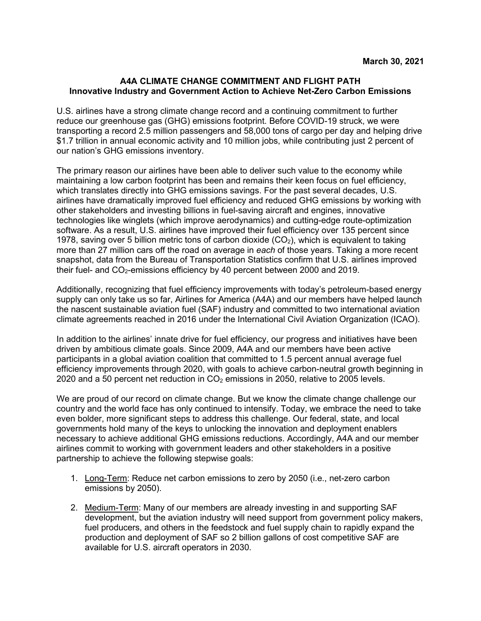#### **A4A CLIMATE CHANGE COMMITMENT AND FLIGHT PATH Innovative Industry and Government Action to Achieve Net-Zero Carbon Emissions**

U.S. airlines have a strong climate change record and a continuing commitment to further reduce our greenhouse gas (GHG) emissions footprint. Before COVID-19 struck, we were transporting a record 2.5 million passengers and 58,000 tons of cargo per day and helping drive \$1.7 trillion in annual economic activity and 10 million jobs, while contributing just 2 percent of our nation's GHG emissions inventory.

The primary reason our airlines have been able to deliver such value to the economy while maintaining a low carbon footprint has been and remains their keen focus on fuel efficiency, which translates directly into GHG emissions savings. For the past several decades, U.S. airlines have dramatically improved fuel efficiency and reduced GHG emissions by working with other stakeholders and investing billions in fuel-saving aircraft and engines, innovative technologies like winglets (which improve aerodynamics) and cutting-edge route-optimization software. As a result, U.S. airlines have improved their fuel efficiency over 135 percent since 1978, saving over 5 billion metric tons of carbon dioxide  $(CO<sub>2</sub>)$ , which is equivalent to taking more than 27 million cars off the road on average in *each* of those years. Taking a more recent snapshot, data from the Bureau of Transportation Statistics confirm that U.S. airlines improved their fuel- and  $CO<sub>2</sub>$ -emissions efficiency by 40 percent between 2000 and 2019.

Additionally, recognizing that fuel efficiency improvements with today's petroleum-based energy supply can only take us so far, Airlines for America (A4A) and our members have helped launch the nascent sustainable aviation fuel (SAF) industry and committed to two international aviation climate agreements reached in 2016 under the International Civil Aviation Organization (ICAO).

In addition to the airlines' innate drive for fuel efficiency, our progress and initiatives have been driven by ambitious climate goals. Since 2009, A4A and our members have been active participants in a global aviation coalition that committed to 1.5 percent annual average fuel efficiency improvements through 2020, with goals to achieve carbon-neutral growth beginning in 2020 and a 50 percent net reduction in  $CO<sub>2</sub>$  emissions in 2050, relative to 2005 levels.

We are proud of our record on climate change. But we know the climate change challenge our country and the world face has only continued to intensify. Today, we embrace the need to take even bolder, more significant steps to address this challenge. Our federal, state, and local governments hold many of the keys to unlocking the innovation and deployment enablers necessary to achieve additional GHG emissions reductions. Accordingly, A4A and our member airlines commit to working with government leaders and other stakeholders in a positive partnership to achieve the following stepwise goals:

- 1. Long-Term: Reduce net carbon emissions to zero by 2050 (i.e., net-zero carbon emissions by 2050).
- 2. Medium-Term: Many of our members are already investing in and supporting SAF development, but the aviation industry will need support from government policy makers, fuel producers, and others in the feedstock and fuel supply chain to rapidly expand the production and deployment of SAF so 2 billion gallons of cost competitive SAF are available for U.S. aircraft operators in 2030.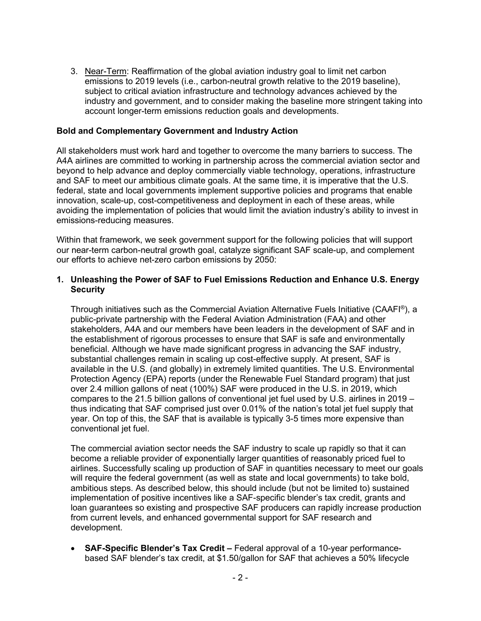3. Near-Term: Reaffirmation of the global aviation industry goal to limit net carbon emissions to 2019 levels (i.e., carbon-neutral growth relative to the 2019 baseline), subject to critical aviation infrastructure and technology advances achieved by the industry and government, and to consider making the baseline more stringent taking into account longer-term emissions reduction goals and developments.

#### **Bold and Complementary Government and Industry Action**

All stakeholders must work hard and together to overcome the many barriers to success. The A4A airlines are committed to working in partnership across the commercial aviation sector and beyond to help advance and deploy commercially viable technology, operations, infrastructure and SAF to meet our ambitious climate goals. At the same time, it is imperative that the U.S. federal, state and local governments implement supportive policies and programs that enable innovation, scale-up, cost-competitiveness and deployment in each of these areas, while avoiding the implementation of policies that would limit the aviation industry's ability to invest in emissions-reducing measures.

Within that framework, we seek government support for the following policies that will support our near-term carbon-neutral growth goal, catalyze significant SAF scale-up, and complement our efforts to achieve net-zero carbon emissions by 2050:

### **1. Unleashing the Power of SAF to Fuel Emissions Reduction and Enhance U.S. Energy Security**

Through initiatives such as the Commercial Aviation Alternative Fuels Initiative (CAAFI®), a public-private partnership with the Federal Aviation Administration (FAA) and other stakeholders, A4A and our members have been leaders in the development of SAF and in the establishment of rigorous processes to ensure that SAF is safe and environmentally beneficial. Although we have made significant progress in advancing the SAF industry, substantial challenges remain in scaling up cost-effective supply. At present, SAF is available in the U.S. (and globally) in extremely limited quantities. The U.S. Environmental Protection Agency (EPA) reports (under the Renewable Fuel Standard program) that just over 2.4 million gallons of neat (100%) SAF were produced in the U.S. in 2019, which compares to the 21.5 billion gallons of conventional jet fuel used by U.S. airlines in 2019 – thus indicating that SAF comprised just over 0.01% of the nation's total jet fuel supply that year. On top of this, the SAF that is available is typically 3-5 times more expensive than conventional jet fuel.

The commercial aviation sector needs the SAF industry to scale up rapidly so that it can become a reliable provider of exponentially larger quantities of reasonably priced fuel to airlines. Successfully scaling up production of SAF in quantities necessary to meet our goals will require the federal government (as well as state and local governments) to take bold, ambitious steps. As described below, this should include (but not be limited to) sustained implementation of positive incentives like a SAF-specific blender's tax credit, grants and loan guarantees so existing and prospective SAF producers can rapidly increase production from current levels, and enhanced governmental support for SAF research and development.

• **SAF-Specific Blender's Tax Credit –** Federal approval of a 10-year performancebased SAF blender's tax credit, at \$1.50/gallon for SAF that achieves a 50% lifecycle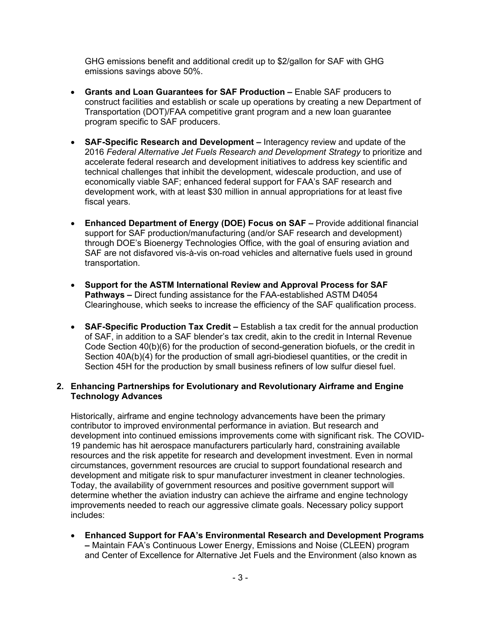GHG emissions benefit and additional credit up to \$2/gallon for SAF with GHG emissions savings above 50%.

- **Grants and Loan Guarantees for SAF Production –** Enable SAF producers to construct facilities and establish or scale up operations by creating a new Department of Transportation (DOT)/FAA competitive grant program and a new loan guarantee program specific to SAF producers.
- **SAF-Specific Research and Development –** Interagency review and update of the 2016 *Federal Alternative Jet Fuels Research and Development Strategy* to prioritize and accelerate federal research and development initiatives to address key scientific and technical challenges that inhibit the development, widescale production, and use of economically viable SAF; enhanced federal support for FAA's SAF research and development work, with at least \$30 million in annual appropriations for at least five fiscal years.
- **Enhanced Department of Energy (DOE) Focus on SAF –** Provide additional financial support for SAF production/manufacturing (and/or SAF research and development) through DOE's Bioenergy Technologies Office, with the goal of ensuring aviation and SAF are not disfavored vis-à-vis on-road vehicles and alternative fuels used in ground transportation.
- **Support for the ASTM International Review and Approval Process for SAF Pathways –** Direct funding assistance for the FAA-established ASTM D4054 Clearinghouse, which seeks to increase the efficiency of the SAF qualification process.
- **SAF-Specific Production Tax Credit –** Establish a tax credit for the annual production of SAF, in addition to a SAF blender's tax credit, akin to the credit in Internal Revenue Code Section 40(b)(6) for the production of second-generation biofuels, or the credit in Section 40A(b)(4) for the production of small agri-biodiesel quantities, or the credit in Section 45H for the production by small business refiners of low sulfur diesel fuel.

### **2. Enhancing Partnerships for Evolutionary and Revolutionary Airframe and Engine Technology Advances**

Historically, airframe and engine technology advancements have been the primary contributor to improved environmental performance in aviation. But research and development into continued emissions improvements come with significant risk. The COVID-19 pandemic has hit aerospace manufacturers particularly hard, constraining available resources and the risk appetite for research and development investment. Even in normal circumstances, government resources are crucial to support foundational research and development and mitigate risk to spur manufacturer investment in cleaner technologies. Today, the availability of government resources and positive government support will determine whether the aviation industry can achieve the airframe and engine technology improvements needed to reach our aggressive climate goals. Necessary policy support includes:

• **Enhanced Support for FAA's Environmental Research and Development Programs –** Maintain FAA's Continuous Lower Energy, Emissions and Noise (CLEEN) program and Center of Excellence for Alternative Jet Fuels and the Environment (also known as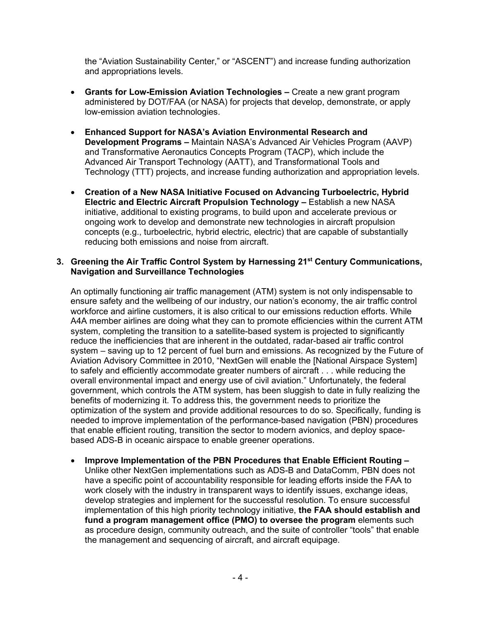the "Aviation Sustainability Center," or "ASCENT") and increase funding authorization and appropriations levels.

- **Grants for Low-Emission Aviation Technologies –** Create a new grant program administered by DOT/FAA (or NASA) for projects that develop, demonstrate, or apply low-emission aviation technologies.
- **Enhanced Support for NASA's Aviation Environmental Research and Development Programs –** Maintain NASA's Advanced Air Vehicles Program (AAVP) and Transformative Aeronautics Concepts Program (TACP), which include the Advanced Air Transport Technology (AATT), and Transformational Tools and Technology (TTT) projects, and increase funding authorization and appropriation levels.
- **Creation of a New NASA Initiative Focused on Advancing Turboelectric, Hybrid Electric and Electric Aircraft Propulsion Technology –** Establish a new NASA initiative, additional to existing programs, to build upon and accelerate previous or ongoing work to develop and demonstrate new technologies in aircraft propulsion concepts (e.g., turboelectric, hybrid electric, electric) that are capable of substantially reducing both emissions and noise from aircraft.

### **3. Greening the Air Traffic Control System by Harnessing 21st Century Communications, Navigation and Surveillance Technologies**

An optimally functioning air traffic management (ATM) system is not only indispensable to ensure safety and the wellbeing of our industry, our nation's economy, the air traffic control workforce and airline customers, it is also critical to our emissions reduction efforts. While A4A member airlines are doing what they can to promote efficiencies within the current ATM system, completing the transition to a satellite-based system is projected to significantly reduce the inefficiencies that are inherent in the outdated, radar-based air traffic control system – saving up to 12 percent of fuel burn and emissions. As recognized by the Future of Aviation Advisory Committee in 2010, "NextGen will enable the [National Airspace System] to safely and efficiently accommodate greater numbers of aircraft . . . while reducing the overall environmental impact and energy use of civil aviation." Unfortunately, the federal government, which controls the ATM system, has been sluggish to date in fully realizing the benefits of modernizing it. To address this, the government needs to prioritize the optimization of the system and provide additional resources to do so. Specifically, funding is needed to improve implementation of the performance-based navigation (PBN) procedures that enable efficient routing, transition the sector to modern avionics, and deploy spacebased ADS-B in oceanic airspace to enable greener operations.

• **Improve Implementation of the PBN Procedures that Enable Efficient Routing –** Unlike other NextGen implementations such as ADS-B and DataComm, PBN does not have a specific point of accountability responsible for leading efforts inside the FAA to work closely with the industry in transparent ways to identify issues, exchange ideas, develop strategies and implement for the successful resolution. To ensure successful implementation of this high priority technology initiative, **the FAA should establish and fund a program management office (PMO) to oversee the program** elements such as procedure design, community outreach, and the suite of controller "tools" that enable the management and sequencing of aircraft, and aircraft equipage.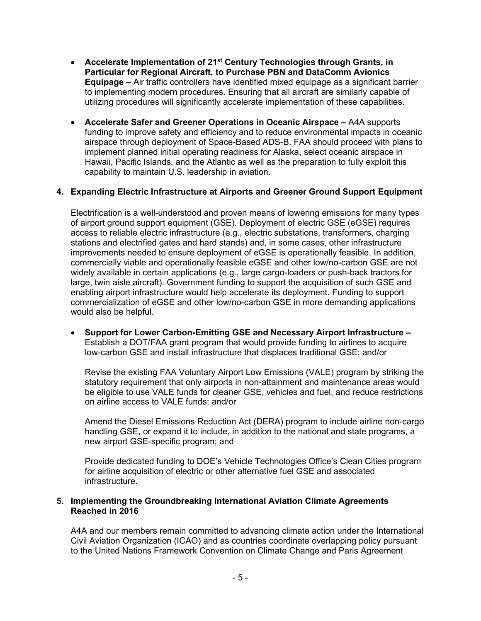- **Accelerate Implementation of 21st Century Technologies through Grants, in Particular for Regional Aircraft, to Purchase PBN and DataComm Avionics Equipage –** Air traffic controllers have identified mixed equipage as a significant barrier to implementing modern procedures. Ensuring that all aircraft are similarly capable of utilizing procedures will significantly accelerate implementation of these capabilities.
- **Accelerate Safer and Greener Operations in Oceanic Airspace –** A4A supports funding to improve safety and efficiency and to reduce environmental impacts in oceanic airspace through deployment of Space-Based ADS-B. FAA should proceed with plans to implement planned initial operating readiness for Alaska, select oceanic airspace in Hawaii, Pacific Islands, and the Atlantic as well as the preparation to fully exploit this capability to maintain U.S. leadership in aviation.

## **4. Expanding Electric Infrastructure at Airports and Greener Ground Support Equipment**

Electrification is a well-understood and proven means of lowering emissions for many types of airport ground support equipment (GSE). Deployment of electric GSE (eGSE) requires access to reliable electric infrastructure (e.g., electric substations, transformers, charging stations and electrified gates and hard stands) and, in some cases, other infrastructure improvements needed to ensure deployment of eGSE is operationally feasible. In addition, commercially viable and operationally feasible eGSE and other low/no-carbon GSE are not widely available in certain applications (e.g., large cargo-loaders or push-back tractors for large, twin aisle aircraft). Government funding to support the acquisition of such GSE and enabling airport infrastructure would help accelerate its deployment. Funding to support commercialization of eGSE and other low/no-carbon GSE in more demanding applications would also be helpful.

• **Support for Lower Carbon-Emitting GSE and Necessary Airport Infrastructure –** Establish a DOT/FAA grant program that would provide funding to airlines to acquire low-carbon GSE and install infrastructure that displaces traditional GSE; and/or

Revise the existing FAA Voluntary Airport Low Emissions (VALE) program by striking the statutory requirement that only airports in non-attainment and maintenance areas would be eligible to use VALE funds for cleaner GSE, vehicles and fuel, and reduce restrictions on airline access to VALE funds; and/or

Amend the Diesel Emissions Reduction Act (DERA) program to include airline non-cargo handling GSE, or expand it to include, in addition to the national and state programs, a new airport GSE-specific program; and

Provide dedicated funding to DOE's Vehicle Technologies Office's Clean Cities program for airline acquisition of electric or other alternative fuel GSE and associated infrastructure.

#### **5. Implementing the Groundbreaking International Aviation Climate Agreements Reached in 2016**

A4A and our members remain committed to advancing climate action under the International Civil Aviation Organization (ICAO) and as countries coordinate overlapping policy pursuant to the United Nations Framework Convention on Climate Change and Paris Agreement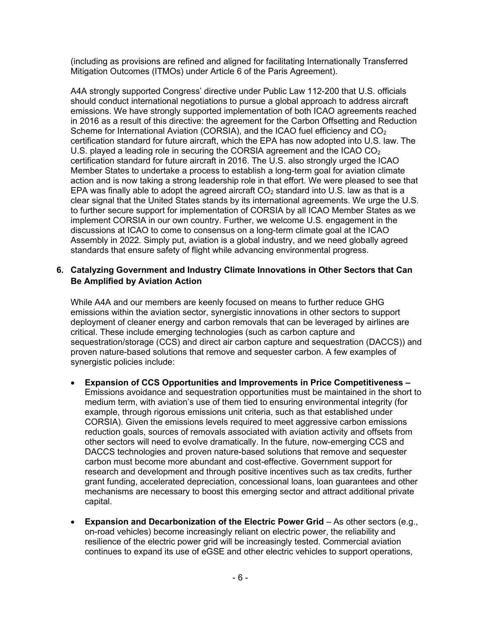(including as provisions are refined and aligned for facilitating Internationally Transferred Mitigation Outcomes (ITMOs) under Article 6 of the Paris Agreement).

A4A strongly supported Congress' directive under Public Law 112-200 that U.S. officials should conduct international negotiations to pursue a global approach to address aircraft emissions. We have strongly supported implementation of both ICAO agreements reached in 2016 as a result of this directive: the agreement for the Carbon Offsetting and Reduction Scheme for International Aviation (CORSIA), and the ICAO fuel efficiency and  $CO<sub>2</sub>$ certification standard for future aircraft, which the EPA has now adopted into U.S. law. The U.S. played a leading role in securing the CORSIA agreement and the ICAO  $CO<sub>2</sub>$ certification standard for future aircraft in 2016. The U.S. also strongly urged the ICAO Member States to undertake a process to establish a long-term goal for aviation climate action and is now taking a strong leadership role in that effort. We were pleased to see that EPA was finally able to adopt the agreed aircraft  $CO<sub>2</sub>$  standard into U.S. law as that is a clear signal that the United States stands by its international agreements. We urge the U.S. to further secure support for implementation of CORSIA by all ICAO Member States as we implement CORSIA in our own country. Further, we welcome U.S. engagement in the discussions at ICAO to come to consensus on a long-term climate goal at the ICAO Assembly in 2022. Simply put, aviation is a global industry, and we need globally agreed standards that ensure safety of flight while advancing environmental progress.

# **6. Catalyzing Government and Industry Climate Innovations in Other Sectors that Can Be Amplified by Aviation Action**

While A4A and our members are keenly focused on means to further reduce GHG emissions within the aviation sector, synergistic innovations in other sectors to support deployment of cleaner energy and carbon removals that can be leveraged by airlines are critical. These include emerging technologies (such as carbon capture and sequestration/storage (CCS) and direct air carbon capture and sequestration (DACCS)) and proven nature-based solutions that remove and sequester carbon. A few examples of synergistic policies include:

- **Expansion of CCS Opportunities and Improvements in Price Competitiveness –** Emissions avoidance and sequestration opportunities must be maintained in the short to medium term, with aviation's use of them tied to ensuring environmental integrity (for example, through rigorous emissions unit criteria, such as that established under CORSIA). Given the emissions levels required to meet aggressive carbon emissions reduction goals, sources of removals associated with aviation activity and offsets from other sectors will need to evolve dramatically. In the future, now-emerging CCS and DACCS technologies and proven nature-based solutions that remove and sequester carbon must become more abundant and cost-effective. Government support for research and development and through positive incentives such as tax credits, further grant funding, accelerated depreciation, concessional loans, loan guarantees and other mechanisms are necessary to boost this emerging sector and attract additional private capital.
- **Expansion and Decarbonization of the Electric Power Grid As other sectors (e.g.,** on-road vehicles) become increasingly reliant on electric power, the reliability and resilience of the electric power grid will be increasingly tested. Commercial aviation continues to expand its use of eGSE and other electric vehicles to support operations,